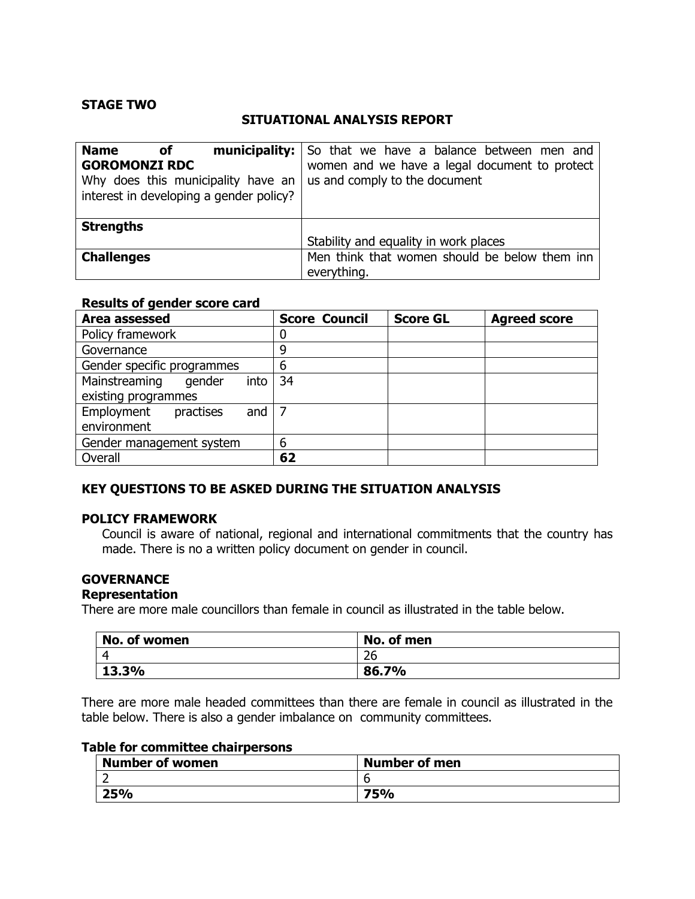# **STAGE TWO**

# **SITUATIONAL ANALYSIS REPORT**

| <b>Name</b><br>οf                       | <b>municipality:</b> So that we have a balance between men and |  |
|-----------------------------------------|----------------------------------------------------------------|--|
| <b>GOROMONZI RDC</b>                    | women and we have a legal document to protect                  |  |
| Why does this municipality have an      | us and comply to the document                                  |  |
| interest in developing a gender policy? |                                                                |  |
|                                         |                                                                |  |
| <b>Strengths</b>                        |                                                                |  |
|                                         | Stability and equality in work places                          |  |
| <b>Challenges</b>                       | Men think that women should be below them inn                  |  |
|                                         | everything.                                                    |  |

# **Results of gender score card**

| Area assessed                   | <b>Score Council</b> | <b>Score GL</b> | <b>Agreed score</b> |
|---------------------------------|----------------------|-----------------|---------------------|
| Policy framework                |                      |                 |                     |
| Governance                      | 9                    |                 |                     |
| Gender specific programmes      | 6                    |                 |                     |
| Mainstreaming<br>gender<br>into | 34                   |                 |                     |
| existing programmes             |                      |                 |                     |
| Employment<br>practises<br>and  |                      |                 |                     |
| environment                     |                      |                 |                     |
| Gender management system        | 6                    |                 |                     |
| Overall                         | 62                   |                 |                     |

# **KEY QUESTIONS TO BE ASKED DURING THE SITUATION ANALYSIS**

# **POLICY FRAMEWORK**

Council is aware of national, regional and international commitments that the country has made. There is no a written policy document on gender in council.

# **GOVERNANCE**

## **Representation**

There are more male councillors than female in council as illustrated in the table below.

| No. of women | No. of men     |
|--------------|----------------|
|              | $\cap C$<br>ZU |
| 13.3%        | 86.7%          |

There are more male headed committees than there are female in council as illustrated in the table below. There is also a gender imbalance on community committees.

#### **Table for committee chairpersons**

| Number of women | <b>Number of men</b> |
|-----------------|----------------------|
|                 |                      |
| 25%             | 75%                  |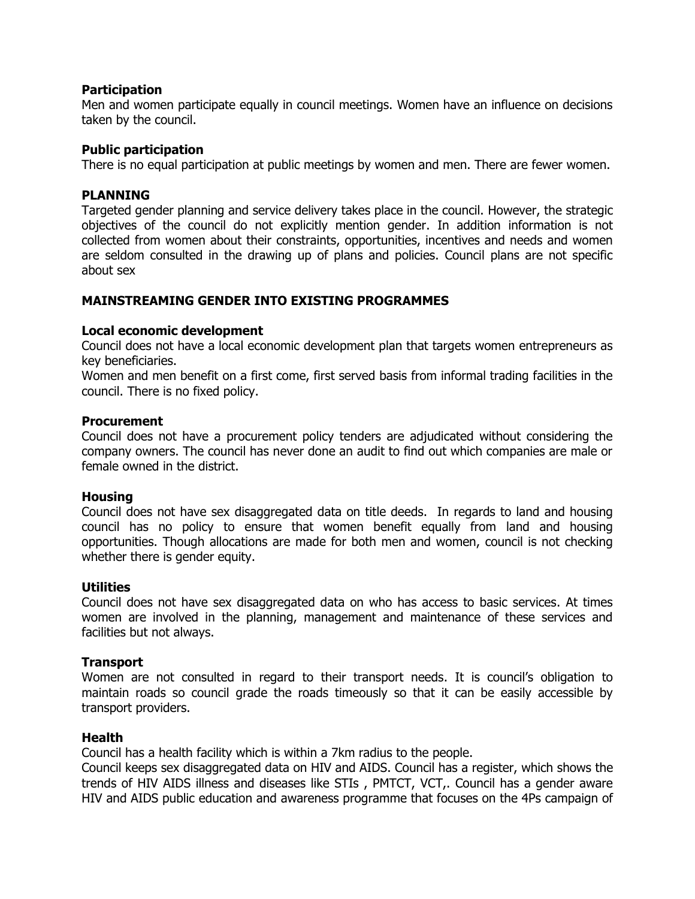## **Participation**

Men and women participate equally in council meetings. Women have an influence on decisions taken by the council.

## **Public participation**

There is no equal participation at public meetings by women and men. There are fewer women.

## **PLANNING**

Targeted gender planning and service delivery takes place in the council. However, the strategic objectives of the council do not explicitly mention gender. In addition information is not collected from women about their constraints, opportunities, incentives and needs and women are seldom consulted in the drawing up of plans and policies. Council plans are not specific about sex

## **MAINSTREAMING GENDER INTO EXISTING PROGRAMMES**

## **Local economic development**

Council does not have a local economic development plan that targets women entrepreneurs as key beneficiaries.

Women and men benefit on a first come, first served basis from informal trading facilities in the council. There is no fixed policy.

## **Procurement**

Council does not have a procurement policy tenders are adjudicated without considering the company owners. The council has never done an audit to find out which companies are male or female owned in the district.

## **Housing**

Council does not have sex disaggregated data on title deeds. In regards to land and housing council has no policy to ensure that women benefit equally from land and housing opportunities. Though allocations are made for both men and women, council is not checking whether there is gender equity.

## **Utilities**

Council does not have sex disaggregated data on who has access to basic services. At times women are involved in the planning, management and maintenance of these services and facilities but not always.

## **Transport**

Women are not consulted in regard to their transport needs. It is council's obligation to maintain roads so council grade the roads timeously so that it can be easily accessible by transport providers.

## **Health**

Council has a health facility which is within a 7km radius to the people.

Council keeps sex disaggregated data on HIV and AIDS. Council has a register, which shows the trends of HIV AIDS illness and diseases like STIs , PMTCT, VCT,. Council has a gender aware HIV and AIDS public education and awareness programme that focuses on the 4Ps campaign of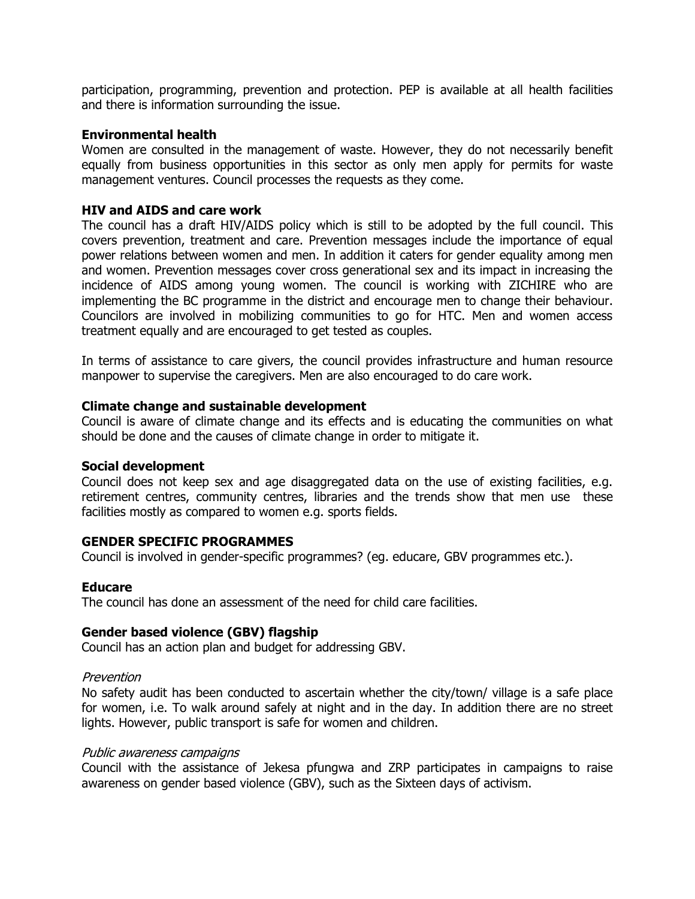participation, programming, prevention and protection. PEP is available at all health facilities and there is information surrounding the issue.

## **Environmental health**

Women are consulted in the management of waste. However, they do not necessarily benefit equally from business opportunities in this sector as only men apply for permits for waste management ventures. Council processes the requests as they come.

## **HIV and AIDS and care work**

The council has a draft HIV/AIDS policy which is still to be adopted by the full council. This covers prevention, treatment and care. Prevention messages include the importance of equal power relations between women and men. In addition it caters for gender equality among men and women. Prevention messages cover cross generational sex and its impact in increasing the incidence of AIDS among young women. The council is working with ZICHIRE who are implementing the BC programme in the district and encourage men to change their behaviour. Councilors are involved in mobilizing communities to go for HTC. Men and women access treatment equally and are encouraged to get tested as couples.

In terms of assistance to care givers, the council provides infrastructure and human resource manpower to supervise the caregivers. Men are also encouraged to do care work.

## **Climate change and sustainable development**

Council is aware of climate change and its effects and is educating the communities on what should be done and the causes of climate change in order to mitigate it.

## **Social development**

Council does not keep sex and age disaggregated data on the use of existing facilities, e.g. retirement centres, community centres, libraries and the trends show that men use these facilities mostly as compared to women e.g. sports fields.

## **GENDER SPECIFIC PROGRAMMES**

Council is involved in gender-specific programmes? (eg. educare, GBV programmes etc.).

## **Educare**

The council has done an assessment of the need for child care facilities.

# **Gender based violence (GBV) flagship**

Council has an action plan and budget for addressing GBV.

## Prevention

No safety audit has been conducted to ascertain whether the city/town/ village is a safe place for women, i.e. To walk around safely at night and in the day. In addition there are no street lights. However, public transport is safe for women and children.

## Public awareness campaigns

Council with the assistance of Jekesa pfungwa and ZRP participates in campaigns to raise awareness on gender based violence (GBV), such as the Sixteen days of activism.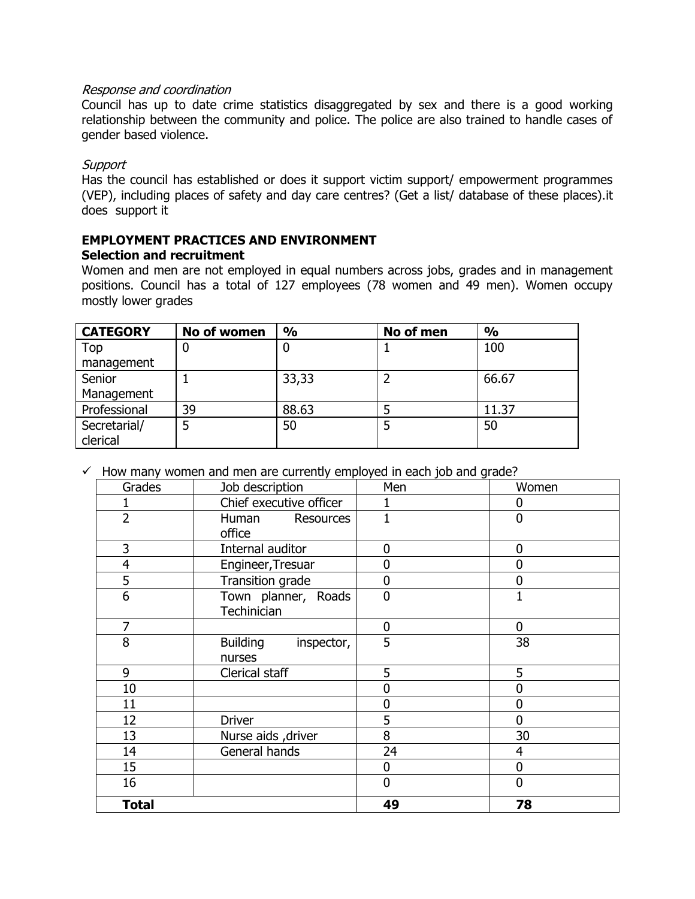## Response and coordination

Council has up to date crime statistics disaggregated by sex and there is a good working relationship between the community and police. The police are also trained to handle cases of gender based violence.

## **Support**

Has the council has established or does it support victim support/ empowerment programmes (VEP), including places of safety and day care centres? (Get a list/ database of these places).it does support it

## **EMPLOYMENT PRACTICES AND ENVIRONMENT Selection and recruitment**

Women and men are not employed in equal numbers across jobs, grades and in management positions. Council has a total of 127 employees (78 women and 49 men). Women occupy mostly lower grades

| <b>CATEGORY</b> | No of women | $\frac{1}{2}$ | No of men | $\frac{1}{2}$ |
|-----------------|-------------|---------------|-----------|---------------|
| Top             | U           | U             |           | 100           |
| management      |             |               |           |               |
| Senior          |             | 33,33         |           | 66.67         |
| Management      |             |               |           |               |
| Professional    | 39          | 88.63         |           | 11.37         |
| Secretarial/    |             | 50            |           | 50            |
| clerical        |             |               |           |               |

 $\checkmark$  How many women and men are currently employed in each job and grade?

| Grades         | Job description               | Men            | Women          |
|----------------|-------------------------------|----------------|----------------|
|                | Chief executive officer       |                | 0              |
| $\overline{2}$ | Human Resources               | $\mathbf{1}$   | $\overline{0}$ |
|                | office                        |                |                |
| 3              | Internal auditor              | 0              | 0              |
| 4              | Engineer, Tresuar             | 0              | $\overline{0}$ |
| $\overline{5}$ | Transition grade              | 0              | $\overline{0}$ |
| 6              | Town planner, Roads           | $\overline{0}$ | $\mathbf{1}$   |
|                | Techinician                   |                |                |
| $\overline{7}$ |                               | 0              | $\overline{0}$ |
| 8              | <b>Building</b><br>inspector, | 5              | 38             |
|                | nurses                        |                |                |
| 9              | Clerical staff                | 5              | 5              |
| 10             |                               | 0              | $\overline{0}$ |
| 11             |                               | 0              | $\mathbf 0$    |
| 12             | <b>Driver</b>                 | 5              | $\overline{0}$ |
| 13             | Nurse aids , driver           | 8              | 30             |
| 14             | General hands                 | 24             | 4              |
| 15             |                               | 0              | 0              |
| 16             |                               | $\overline{0}$ | $\overline{0}$ |
| <b>Total</b>   |                               | 49             | 78             |